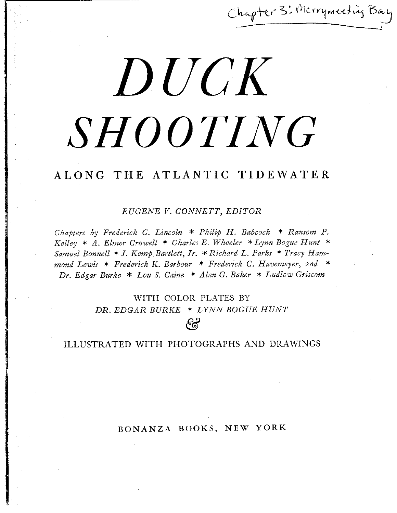Chapter 3: Merrymeeting Bay

# $DUCK$ SHOOTING

## ALONG THE ATLANTIC TIDEWATER

EUGENE V. CONNETT, EDITOR

Chapters by Frederick C. Lincoln  $*$  Philip H. Babcock  $*$  Ransom P. Kelley \* A. Elmer Crowell \* Charles E. Wheeler \* Lynn Bogue Hunt \* Samuel Bonnell \* J. Kemp Bartlett, Jr. \* Richard L. Parks \* Tracy Hammond Lewis \* Frederick K. Barbour \* Frederick C. Havemeyer, 2nd \* Dr. Edgar Burke  $*$  Lou S. Caine  $*$  Alan G. Baker  $*$  Ludlow Griscom

> WITH COLOR PLATES BY DR. EDGAR BURKE \* LYNN BOGUE HUNT

> > ^র

**ILLUSTRATED WITH PHOTOGRAPHS AND DRAWINGS** 

#### BONANZA BOOKS, NEW YORK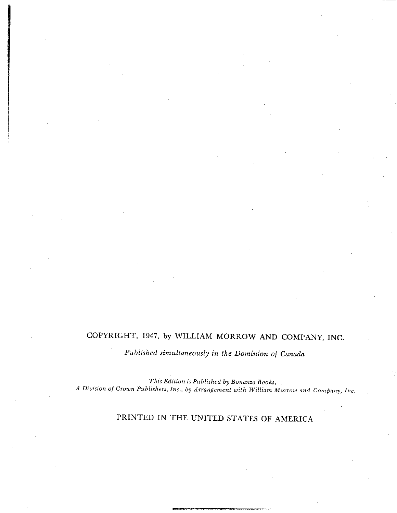## COPYRIGHT, 1947, by WILLIAM MORROW AND COMPANY, INC.

### Published simultaneously in the Dominion of Canada

This Edition is Published by Bonanza Books, A Division of Crown Publishers, Inc., by Arrangement with William Morrow and Company, Inc.

#### PRINTED IN THE UNITED STATES OF AMERICA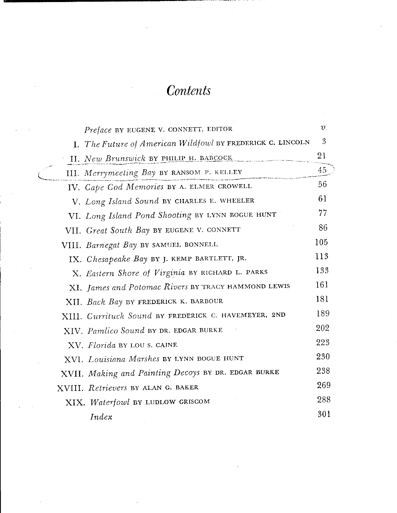# **Contents**

| Preface BY EUGENE V. CONNETT, EDITOR                       | υ       |
|------------------------------------------------------------|---------|
| I. The Future of American Wildfowl BY FREDERICK C. LINCOLN | 3       |
| II. New Brunswick BY PHILIP H. BABCOCK                     | 21      |
| III. Merrymeeting Bay BY RANSOM P. KELLEY                  | 45      |
| IV. Cape Cod Memories BY A. ELMER CROWELL                  | 56      |
| V. Long Island Sound BY CHARLES E. WHEELER                 | 61      |
| VI. Long Island Pond Shooting BY LYNN BOGUE HUNT           | $77 \,$ |
| VII. Great South Bay BY EUGENE V. CONNETT                  | 86      |
| VIII. Barnegat Bay BY SAMUEL BONNELL                       | 105     |
| IX. Chesapeake Bay BY J. KEMP BARTLETT, JR.                | 113     |
| X. Eastern Shore of Virginia BY RICHARD L. PARKS           | 133     |
| XI. James and Potomac Rivers BY TRACY HAMMOND LEWIS        | 161     |
| XII. Back Bay BY FREDERICK K. BARBOUR                      | 181     |
| XIII. Currituck Sound BY FREDERICK C. HAVEMEYER, 2ND       | 189     |
| XIV. Pamlico Sound BY DR. EDGAR BURKE                      | 202     |
| XV. Florida BY LOU S. CAINE                                | 223     |
| XVI. Louisiana Marshes BY LYNN BOGUE HUNT                  | 230     |
| XVII. Making and Painting Decoys BY DR. EDGAR BURKE        | 238     |
| XVIII. Retrievers BY ALAN G. BAKER                         | 269     |
| XIX. Waterfowl BY LUDLOW GRISCOM                           | 288     |
| Index                                                      | 301     |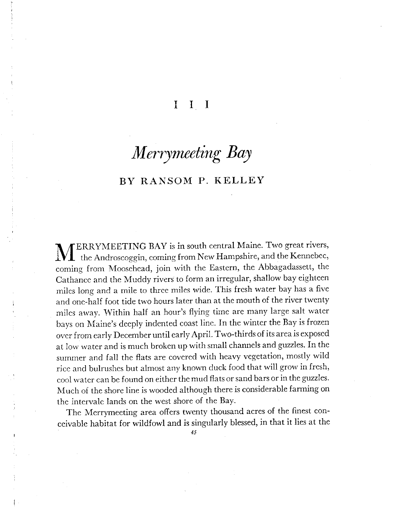#### $I$  I I

# Merrymeeting Bay

#### BY RANSOM P. KELLEY

ERRYMEETING BAY is in south central Maine. Two great rivers,  $V_{\perp}$  the Androscoggin, coming from New Hampshire, and the Kennebec, coming from Moosehead, join with the Eastern, the Abbagadassett, the Cathance and the N{uddy rivers to form an irregular, shallow bay eighteen miles long and a mile to thrce miles wide. This frcsh water bay has a five and one-half foot tide two hours latcr than at the mouth of the river twenty miles away. Within half an hour's flying time are many large salt water bays on Maine's deeply indented coast line. In the winter the Bay is frozen ovcr from early December until early April. Two-thirds of its arca is exposed at low water and is much broken up with small channels and guzzles. In the summer and fall the flats are covered with heavy vegetation, mostly wild ricc and bulrushes but almost any known duck food that will grow in fresh, cool water can be found on either the mud flats or sand bars or in the guzzles. N'Iuch of the shore line is wooded although there is considerable farming on the intervalc lands on the west shore of the Bay.

The Merrymeeting area offers twenty thousand acres of the finest conceivable habitat for wildfowl and is singularly blessed, in that it lies at the

45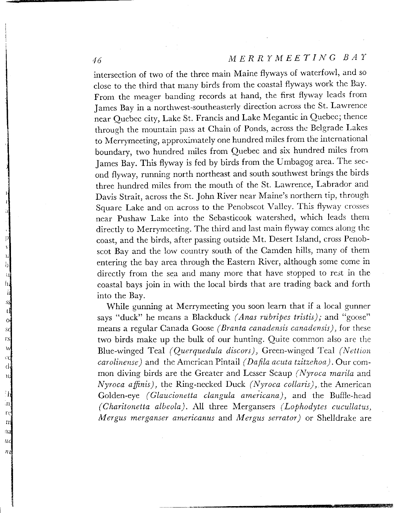#### 46 MERRYMEETING BAY

intersection of two of the three main Maine flyways of waterfowl, and so close to the third that many birds from the coastal flyways work the Bay. From the meager banding records at hand, the first flyway leads from James Bay in a northwest-southeasterly direction across the St. Lawrence near Quebec city, Lake St. Francis and Lake Megantic in Quebec; thence through the mountain pass at Chain of Ponds, across the Belgrade Lakes to Nlerrymeeting, approximately one hundred miles from the international boundary, two hundred miles from Quebec and six hundred miles from James Bay. This flyway is fed by birds from the Umbagog area. The second flyway, running north northeast and south southwest brings the birds three hundred miles from the mouth of the St. Lawrence, Labrador and Davis Strait, across the St. John River near Maine's northern tip, throueh Square Lake and on across to the Penobscot Valley. This flyway crosses near Pushaw Lake into the Sebasticook watershed, which leads them directly to Merrymeeting. The third and last main flyway comcs along the coast, and the birds, after passing outside Mt. Desert Island, cross Penobscot Bay and the low country south of the Camden hills, many of them entering the bay area through the Eastern River, although some come in directly from the sea and many more that have stopped to rest in the coastal bays join in with the local birds that are trading back and forth into the Bay.

While gunning at Merrymeeting you soon learn that if a local gunner says "duck" he means a Blackduck *(Anas rubripes tristis)*; and "goose" means a regular Canada Goose (Branta canadensis canadensis), for these two birds make up the bulk of our hunting. Quite common also are the Blue-winged Teal (Querquedula discors), Green-winged Teal (Nettion *carolinense*) and the American Pintail *(Dafila acuta tzitzehoa)*. Our common diving birds are the Greater and Lesser Scaup (Nyroca marila and Nyroca affinis), the Ring-necked Duck (Nyroca collaris), the American Golden-eye *(Glaucionetta clangula americana)*, and the Buffle-head (Charitonetta albeola). All three Mergansers (Lophodytes cucullatus, Mergus merganser americanus and Mergus serrator) or Shelldrake are

ìέ b

SS tİ  $\overline{O}$ SC rs  $\mathbf{W}$ 

d. າບ່

 $\cdot$  h  $\overline{\mathbf{u}}$ re, m  $\alpha$  $uc$  $n_{l}$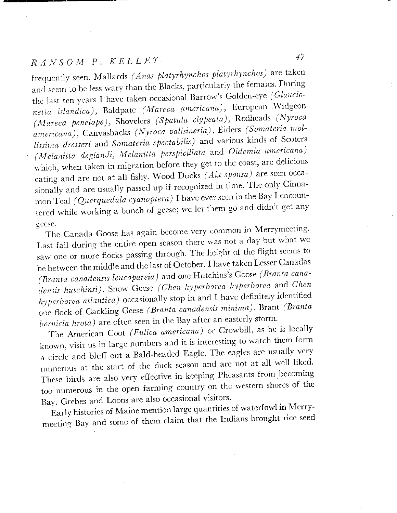# $R A N S O M P. K E L L E Y$  47

frequently scen. Mallards (Anas platyrhynchos platyrhynchos) are taken and scem to be less wary than the Blacks, particularly the females. During the last ten years I have taken occasional Barrow's Golden-eye (Glaucionetta islandica), Baldpate (Mareca americana), European Widgeon (Mareca penelope), Shovelers (Spatula clypeata), Redheads (Nyroca americana), Canvasbacks (Nyroca valisineria), Eiders (Somateria mollissima dresseri and Somateria spectabilis) and various kinds of Scoters (Melanitta deglandi, Melanitta perspicillata and Oidemia americana) which, when taken in migration before they get to the coast, are delicious eating and are not at all fishy. Wood Ducks (Aix sponsa) are seen occasionally and are usually passed up if recognized in time. The only Cinnamon Teal (Querquedula cyanoptera) I have ever seen in the Bay I encountcred while working a bunch of geesc; we let them go and didn't get any qecse.

The Canada Goose has again become very common in Merrymeeting. Last fall during the entire open season there was not a day but what we saw one or more flocks passing through. The height of the flight seems to be between the middle and the last of October. I have taken Lesser Canadas (Branta canadensis leucopareia) and one Hutchins's Goose (Branta canadensis hutchinsi). Snow Geese (Chen hyperborea hyperborea and Chenhyperborea atlantica) occasionally stop in and I have definitely identified one flock of Cackling Geese (Branta canadensis minima). Brant (Branta bernicla hrota) are often seen in the Bay after an easterly storm.

The American Coot (Fulica americana) or Crowbill, as he is locally known, visit us in large numbers and it is interesting to watch them form a circle and blufl out a Bald-headed Eagle. The eagles are usually very numerous at the start of the duck season and are not at all well liked. Thcse birds are also very effective in keeping Phcasants from becoming too numerous in the open farming country on the western shores of the Bay. Grebes and Loons are also occasional visitors.

Early histories of Maine mention large quantitics of waterfowl in Merrymeeting Bay and some of them claim that the Indians brought ricc seed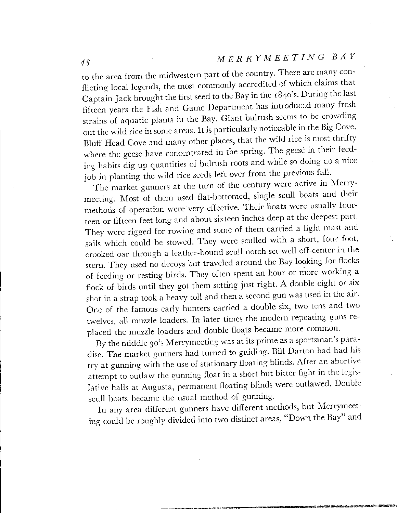# 48  $M E R R Y M E E T I N G B A Y$

to the area from the midwestern part of the country. There are many conflicting local legends, the most commonly accredited of which claims that Captain Jack brought the first seed to the Bay in the 1840's. During the last fifteen years the Fish and Game Department has introduced many fresh strains of aquatic plants in the Bay. Giant bulrush seems to be crowding out the wild rice in some areas. It is particularly noticeable in the Big Cove, Bluff Head Cove and many other places, that the wild rice is most thrifty where the geese have concentrated in the spring. The geese in their feeding habits dig up quantities of bulrush roots and while so doing do a nice job in planting the wild rice seeds left over from the previous fall.

The market gunners at the turn of the century were active in Merrymeeting. Most of them used flat-bottomed, single scull boats and their methods of operation were very effective. Their boats were usually fourteen or fifteen feet long and about sixteen inches deep at the deepest part. They were rigged for rowing and some of them carried a light mast and sails which could be stowed. They were sculled with a short, four foot, crooked oar through a leather-bound scull notch set well off-center in the stern. They used no decoys but traveled around the Bay looking for flocks of feeding or resting birds. They often spent an hour or more working a flock of birds until they got them setting just right. A double eight or six shot in a strap took a heavy toll and then a second gun was used in the air. One of the famous early hunters carried a double six, two tens and two twelves, all muzzle loaders. In later times the modern repeating guns replaced the muzzle loaders and double floats became more common.

By the middle 30's Merrymceting was at its prime as a sportsman's paradisc. The market gunners had turned to guiding. Bill Darton had had his try at gunning with the use of stationary floating blinds. After an abortive attempt to outlaw the gunning float in a short but bitter fight in the legislative halls at Augusta, permanent floating blinds were outlawed. Double scull boats became the usual method of gunning.

In any area different gunners have different methods, but Merrymeeting could be roughly divided into two distinct areas, "Down the Bay" and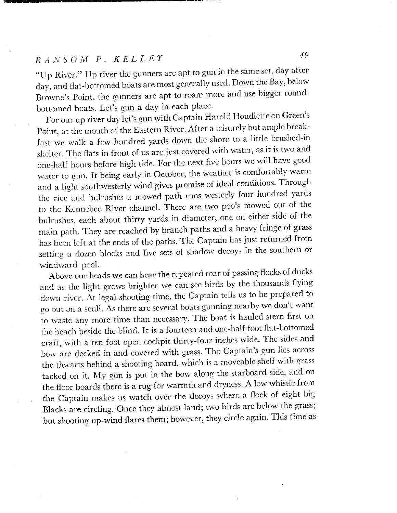# $R A N S O M P. K E L L E Y$  49

"Up River." Up river the gunners are apt to gun in the same set, day after day, and flat-bottomed boats are most generally used. Down the Bay, below Browne's Point, the gunners are apt to roam more and use bigger roundbottomed boats. Let's gun a day in each place.

For our up river day let's gun with Captain Harold Houdlette on Green's Point, at the mouth of the Eastern River. After a leisurcly but ample breakfast we walk a few hundred yards down the shore to a little brushed-in shelter. The flats in front of us are just covered with water, as it is two and one-half hours before high tide. For the next five hours wc will have good water to gun. It being early in October, the weather is comfortably warm and a light southwesterly wind gives promise of ideal conditions. Through the rice and bulrushes a mowed path runs westerly four hundred yards to the Kennebec River channel. There are two pools mowed out of the bulrushcs, each about thirty yards.in diameter, one on either side of the main path. They are reached by branch paths and a heavy fringe of grass has been left at the ends of the paths. The Captain has just returned from setting a dozen blocks and five sets of shadow dccoys in the southern or windward pool.

Above our hcads we can hear the repeated roar of passing flocks of ducks and as the light grows brighter we can see birds by the thousands flying down river. At legal shooting time, the Captain tells us to be prepared to go out on a scull. As there are several boats gunning nearby we don't want to waste any more time than necessary. The boat is hauled stern first on the beach beside the blind. It is a fourteen and one-half foot flat-bottomed craft, with a ten foot open cockpit thirty-four inches wide. The sides and bow arc decked in and covered with grass. The Captain's gun lies across the thwarts behind a shooting board, which is a moveable shelf with grass tacked on it. My gun is put in the bow along the starboard side, and on the floor boards there is a rug for warmth and dryness. A low whistle from the Captain makes us watch over the decoys wherc a flock of eight big Blacks are circling. Once thev almost land; two birds are below the grass; but shooting up-wind flares them; however, they circle again. This time as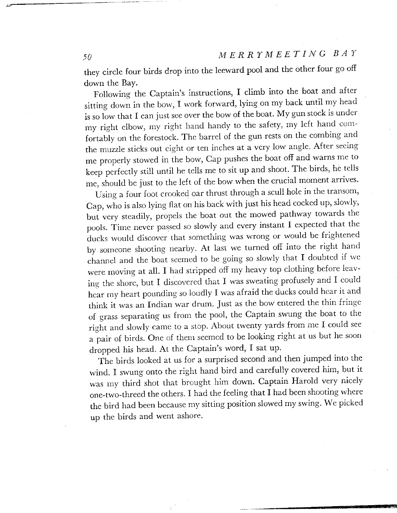they circle four birds drop into the leeward pool and the other four go off down the Bay.

Following the Captain's instructions, I climb into the boat and after sitting down in the bow, I work forward, lying on my back until my head is so low that I can just see over the bow of the boat. My gun stock is under my right elbow, my right hand handy to the safety, my left hand comfortably on the forestock. The barrel of the gun rests on the combing and the muzzle sticks out eight or ten inches at a very low angle. After seeing me properly stowed in the bow, Cap pushes the boat off and warns me to keep perfectly still until he tells me to sit up and shoot. The birds, he tells me, should be just to the left of the bow when the crucial moment arrives.

Using a four foot crooked oar thrust through a scull hole in the transom, Cap, who is also lying flat on his back with just his head cocked up, slowly, but very steadily, propels the boat out the mowed pathway towards the pools. Tirnc never passed so slowly and every instant I expected that the ducks would discover that something was wrong or would be frightened by someone shooting nearby. At last we turned off into the right hand channel and the boat scemed to be going so slowly that I doubted if we were moving at all. I had stripped off my heavy top clothing before leaving the shore, but I discovered that I was sweating profusely and I could hear my heart pounding so loudly I was afraid the ducks could hear it and think it was an Indian war drum. Just as the bow entered the thin fringe of grass separating us from the pool, the Captain swung the boat to the right and slowly came to a stop. About twenty yards from me I could see a pair of birds. One of them seemed to be looking right at us but he soon dropped his head. At the Captain's word, I sat up.

The birds looked at us for a surprised second and then jumped into the wind. I swung onto the right hand bird and carefully covered him, but it was my third shot that brought him down. Captain Harold very nicely one-two-threed the others. I had the feeling that I had been shooting where the bird had been because my sitting position slowed my swing. We picked up the birds and went ashore.

\_,\*a,{qqrtr!&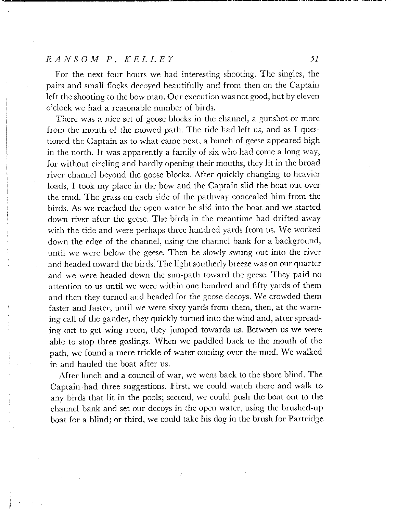#### RANSOM P. KELLEY

For the next four hours we had interesting shooting. The singles, the pairs and small flocks decoyed beautifully and from then on the Captain left the shooting to the bow man. Our execution was not good, but by elevcn o'clock we had a reasonable number of birds.

Thcre was a nice set of goose blocks in the channel, a gunshot or more from the mouth of the mowcd path. The tide had left us, and as I qucstioned the Captain as to what camc next, a bunch of geese appeared high in the north. It was apparently a family of six who had come a long way, for without circling and hardly opening their mouths, thcy lit in thc broad river channel beyond the goose blocks. After quickly changing to heavier loads, I took my place in the bow and the Captain slid the boat out over the mud. The grass on each side of the pathway concealed him from the birds. As we reached the open water he siid into the boat and we started down river after the geese. The birds in the meantime had drifted away with the tide and were perhaps three hundred yards from us. We worked down the edge of the channel, using the channel bank for a background, until we were below the geese. Then he slowly swung out into the river and headed toward the birds. The light southerly breeze was on our quarter and we were headed down the sun-path toward the geese. They paid no attention to us until we were within one hundred and fifty yards of them and then they turned and headed for the goose decoys. We crowded them faster and faster, until we were sixty yards from them, then, at the warning call of the gauder, they quickly turned into the wind and, after spreading out to get wing room, they jumped towards us. Between us we were abie to stop three goslings. Whcn we paddled back to the mouth of the path, we found a mere trickle of water coming ovcr the mud. We waiked in and hauled the boat after us.

After lunch and a council of war, we went back to the shore blind. The Captain had three suggestions. First, we could watch there and walk to any birds that lit in the pools; second, we could push the boat out to the channel bank and set our decoys in the open water, using the brushed-up boat for a blind; or third, we could take his dog in the brush for Partridge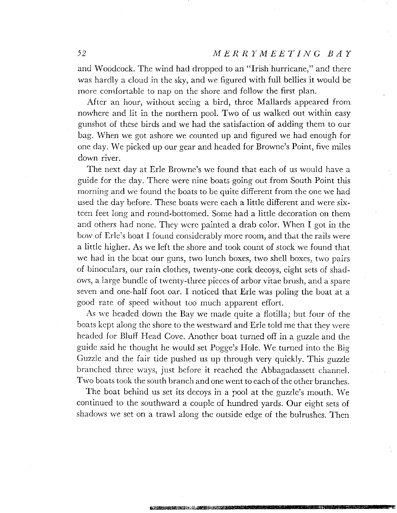#### 52  $MERRYMEETINGBAT$

and Woodcock. The wind had dropped to an "Irish hurricane," and there was hardly a cloud in the sky, and we figured with full bellies it would be more comfortable to nap on the shore and follow the first plan.

After an hour, without seeing a bird, three Mallards appeared from nowhere and lit in the northern pool. Two of us walked out within easy gunshot of these birds and we had the satisfaction of adding them to our bag. When we got ashore we counted up and figured we had enough for onc day. We picked up our gear and headed for Browne's Point, five miles down river.

The next day at Erle Browne's we found that each of us would have a guide for the day. There were nine boats going out from South Point this morning and we found the boats to be quite different from the one we had used the day before. These boats were each a little different and were sixtecn feet long and round-bottomcd. Some had a little decoration on them and others had none. Thcy wcrc paintcd a drab color. When I got in the bow of Erle's boat I found considerably more room, and that the rails were a little higher. As we left the shore and took count of stock we found that we had in the boat our guns, two lunch boxes, two shell boxes, two pairs of binoculars, our rain clothes, twenty-one cork decoys, eight sets of shadows, a large bundle of twenty-three pieces of arbor vitae brush, and a spare seven and one-half foot oar. I noticed that Erle was poling the boat at a good rate of speed without too much apparent effort.

As we headed down the Bay we made quite a flotilla; but four of the boats kept along the shore to the westward and Erle told me that they were headed for Bluff Head Cove. Another boat turned off in a guzzle and the guide said he thought he would set Pogge's Hole. We turned into the Big Guzzle and the fair tide pushed us up through very quickly. This guzzle branched three ways, just before it reached the Abbagadassett channel. Two boats took the south branch and one went to each of the other branches.

The boat behind us set its decoys in a pool at the guzzle's mouth. We continued to the southward a couple of hundred yards. Our eight sets of shadows we set on a trawl along the outside edge of the bulrushes. Then

6. 安全国家经济管理学院/安全学习 计编辑项目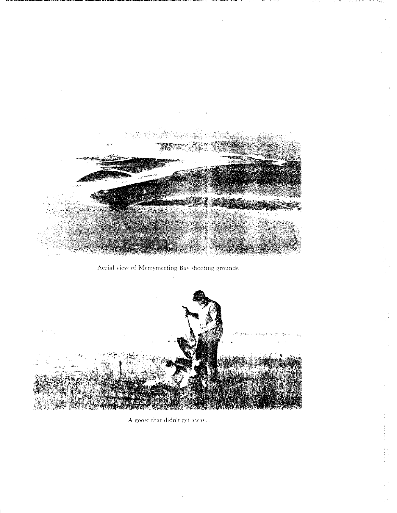

Aerial view of Merrymeeting Bay shooting grounds.



A goose that didn't get away. .

 $\frac{1}{2}$  $\mathbb{I}^{\mathbb{I}}$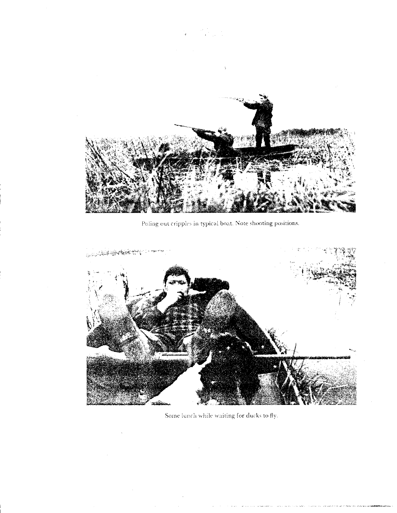

Poling out cripples in typical boat. Note shooting positions.



Some lunch while waiting for ducks to fly.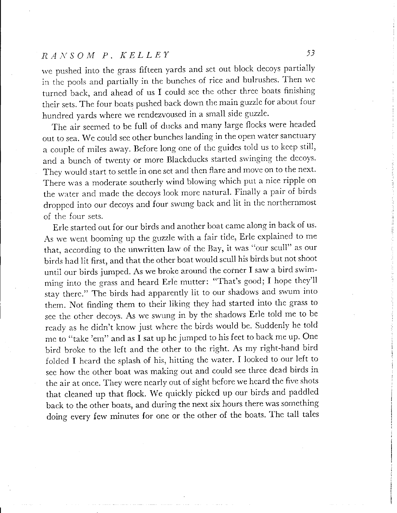#### $R A N S O M P. K E L L E Y$

we pushed into the grass fifteen yards and sct out block decoys partially in the pools and partially in the bunches of rice and bulrushes. Then we turned back, and ahead of us I could see the other three boats finishing their sets. The four boats pushed back down the main guzzle for about four hundred yards where we rendezvoused in a small side guzzle.

The air secmed to be full of ducks and many large flocks were headed out to sea. We could see other bunches landing in the open water sanctuary a couple of miles away. Before long one of thc guides told us to kcep still, and a bunch of twenty or more Blackducks started swinging the decoys. They would start to settle in one set and then flare and move on to the next. There was a moderate southerly wind blowing which put a nice ripple on the water and made the decoys look more natural. Finally a pair of birds droppcd into our decoys and four swung back and 1it in the northernmost of the four sets.

Erle started out for our birds and another boat came along in back of us. As we went booming up the guzzle with a fair tide, Erle explained to me that, according to the unwritten law of the Bay, it was "our scull" as our birds had lit first, and that the other boat would scull his birds but not shoot until our birds jumped. As we broke around the corner I saw a bird swimming into the grass and heard Erle mutter: "That's good; I hope they'll stay therc." The birds had apparently 1it to our shadows and swum into them. Not finding them to their liking they had started into the grass to see the other decoys. As we swung in by the shadows Erle told me to be ready as he didn't know just where the birds would be. Suddenly he told me to "take 'em" and as I sat up he jumped to his feet to back me up. One bird brokc to the left and the other to thc right. As my right-hand bird folded I heard the splash of his, hitting the water. I looked to our left to see how the other boat was making out and could see three dead birds in the air at once. They were nearly out of sight before we heard the five shots that cleaned up that flock. We quickly pickcd up our birds and paddled back to the other boats, and during the next six hours there was something doing every few minutes for one or the other of the boats. Thc tall talcs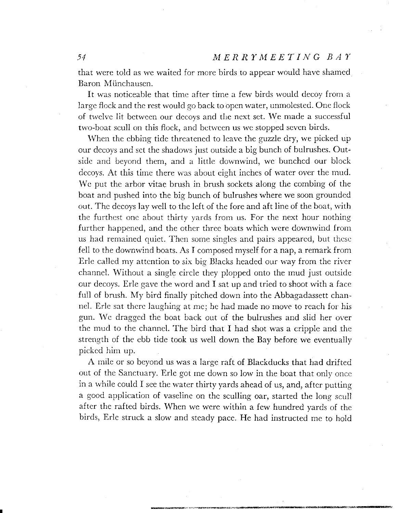that were told as we waited for more birds to appear would have shamed Baron Münchausen.

It was noticeable that time after time a few birds would decoy from a large flock and the rest would go back to open water, unmolested. One flock of twclvc lit bctween our decoys and the ncxt set. \\/e made a successful two-boat scull on this flock, and between us we stopped seven birds.

When the ebbing tide threatened to leave the guzzle dry, we picked up our decoys and set the shadows just outside a big bunch of bulrushes. Outside and beyond them, and a little downwind, we bunched our block decoys. At this time there was about eight inches of water over the mud. Wc put the arbor vitae brush in brush sockets along the combing of the boat and pushed into the big bunch of bulrushes where we soon grounded out. The decoys lay well to the left of the fore and aft line of the boat, with the furthest one about thirty yards from us. For the next hour nothing further happened, and the other three boats which were downwind from us had remained quiet. Thcn some singlcs and pairs appearcd, but thcsc fell to the downwind boats. As I composed myself for a nap, a remark from Erle called my attention to six big Blacks headed our way from the river channel. Without a single circle they plopped onto the mud just outside our decoys. Erle gave the word and I sat up and tried to shoot with a face full of brush. My bird finally pitched down into the Abbagadassett channel. Erle sat there laughing at me; he had made no move to reach for his gun. We draggcd the boat back out of the bulrushes and slid her over the mud to the channcl. The bird that I had shot was a cripplc and thc strength of the ebb tide took us well down the Bay before we eventually pickcd him up.

A rnile or so beyond us was a large raft of Blackducks that had drifted out of the Sanctuary. Erle got rne down so low in the boat that only oncc in a while could I see the water thirty yards ahead of us, and, after putting a good application of vaseline on thc sculling oar, started the lone scull after the rafted birds. When we were within a few hundred yards of the birds, Erle struck a slow and steady pace. He had instructed me to hold